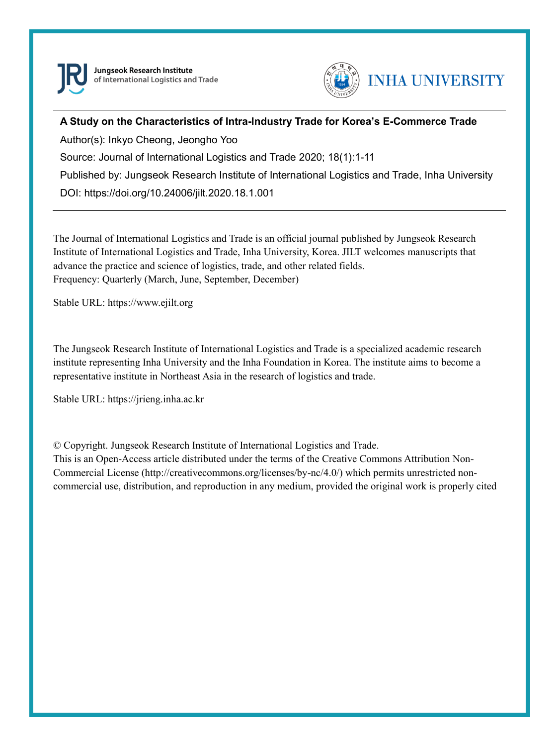

Jungseok Research Institute of International Logistics and Trade



## **A Study on the Characteristics of Intra-Industry Trade for Korea's E-Commerce Trade**

Author(s): Inkyo Cheong, Jeongho Yoo Source: Journal of International Logistics and Trade 2020; 18(1):1-11 Published by: Jungseok Research Institute of International Logistics and Trade, Inha University DOI: https://doi.org/10.24006/jilt.2020.18.1.001

The Journal of International Logistics and Trade is an official journal published by Jungseok Research Institute of International Logistics and Trade, Inha University, Korea. JILT welcomes manuscripts that advance the practice and science of logistics, trade, and other related fields. Frequency: Quarterly (March, June, September, December)

Stable URL: https://www.ejilt.org

The Jungseok Research Institute of International Logistics and Trade is a specialized academic research institute representing Inha University and the Inha Foundation in Korea. The institute aims to become a representative institute in Northeast Asia in the research of logistics and trade.

Stable URL: https://jrieng.inha.ac.kr

© Copyright. Jungseok Research Institute of International Logistics and Trade.

This is an Open-Access article distributed under the terms of the Creative Commons Attribution Non-Commercial License (http://creativecommons.org/licenses/by-nc/4.0/) which permits unrestricted noncommercial use, distribution, and reproduction in any medium, provided the original work is properly cited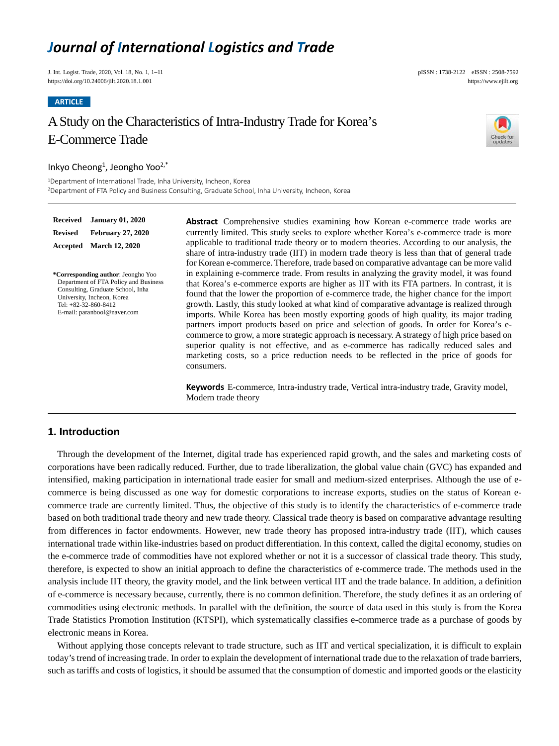# *Journal of International Logistics and Trade*

J. Int. Logist. Trade, 2020, Vol. 18, No. 1, 1–11 pISSN : 1738-2122 eISSN : 2508-7592 https://doi.org/10.24006/jilt.2020.18.1.001 https://www.ejilt.org/

**ARTICLE**

 $Rec6$ 

**Accepted March 12, 2020**

## A Study on the Characteristics of Intra-Industry Trade for Korea's E-Commerce Trade



#### Inkyo Cheong<sup>1</sup>, Jeongho Yoo<sup>2,\*</sup>

<sup>1</sup>Department of International Trade, Inha University, Incheon, Korea <sup>2</sup>Department of FTA Policy and Business Consulting, Graduate School, Inha University, Incheon, Korea

| Received                                                                                                                                                                                                | <b>January 01, 2020</b>  | <b>Abstract</b> Comprehensive studies examining how Korean e-commerce trade works are                                                                                                                                                                                                                                                                                                                                                                                                                                                                                                                                                                                                                                                                                                                                                                                    |  |
|---------------------------------------------------------------------------------------------------------------------------------------------------------------------------------------------------------|--------------------------|--------------------------------------------------------------------------------------------------------------------------------------------------------------------------------------------------------------------------------------------------------------------------------------------------------------------------------------------------------------------------------------------------------------------------------------------------------------------------------------------------------------------------------------------------------------------------------------------------------------------------------------------------------------------------------------------------------------------------------------------------------------------------------------------------------------------------------------------------------------------------|--|
| Revised                                                                                                                                                                                                 | <b>February 27, 2020</b> | currently limited. This study seeks to explore whether Korea's e-commerce trade is more                                                                                                                                                                                                                                                                                                                                                                                                                                                                                                                                                                                                                                                                                                                                                                                  |  |
|                                                                                                                                                                                                         | Accepted March 12, 2020  | applicable to traditional trade theory or to modern theories. According to our analysis, the<br>share of intra-industry trade (IIT) in modern trade theory is less than that of general trade<br>for Korean e-commerce. Therefore, trade based on comparative advantage can be more valid                                                                                                                                                                                                                                                                                                                                                                                                                                                                                                                                                                                |  |
| *Corresponding author: Jeongho Yoo<br>Department of FTA Policy and Business<br>Consulting, Graduate School, Inha<br>University, Incheon, Korea<br>Tel: $+82-32-860-8412$<br>E-mail: paranbool@naver.com |                          | in explaining e-commerce trade. From results in analyzing the gravity model, it was found<br>that Korea's e-commerce exports are higher as IIT with its FTA partners. In contrast, it is<br>found that the lower the proportion of e-commerce trade, the higher chance for the import<br>growth. Lastly, this study looked at what kind of comparative advantage is realized through<br>imports. While Korea has been mostly exporting goods of high quality, its major trading<br>partners import products based on price and selection of goods. In order for Korea's e-<br>commerce to grow, a more strategic approach is necessary. A strategy of high price based on<br>superior quality is not effective, and as e-commerce has radically reduced sales and<br>marketing costs, so a price reduction needs to be reflected in the price of goods for<br>consumers. |  |
|                                                                                                                                                                                                         |                          | <b>Keywords</b> E-commerce, Intra-industry trade, Vertical intra-industry trade, Gravity model,<br>Modern trade theory                                                                                                                                                                                                                                                                                                                                                                                                                                                                                                                                                                                                                                                                                                                                                   |  |

#### **1. Introduction**

Through the development of the Internet, digital trade has experienced rapid growth, and the sales and marketing costs of corporations have been radically reduced. Further, due to trade liberalization, the global value chain (GVC) has expanded and intensified, making participation in international trade easier for small and medium-sized enterprises. Although the use of ecommerce is being discussed as one way for domestic corporations to increase exports, studies on the status of Korean ecommerce trade are currently limited. Thus, the objective of this study is to identify the characteristics of e-commerce trade based on both traditional trade theory and new trade theory. Classical trade theory is based on comparative advantage resulting from differences in factor endowments. However, new trade theory has proposed intra-industry trade (IIT), which causes international trade within like-industries based on product differentiation. In this context, called the digital economy, studies on the e-commerce trade of commodities have not explored whether or not it is a successor of classical trade theory. This study, therefore, is expected to show an initial approach to define the characteristics of e-commerce trade. The methods used in the analysis include IIT theory, the gravity model, and the link between vertical IIT and the trade balance. In addition, a definition of e-commerce is necessary because, currently, there is no common definition. Therefore, the study defines it as an ordering of commodities using electronic methods. In parallel with the definition, the source of data used in this study is from the Korea Trade Statistics Promotion Institution (KTSPI), which systematically classifies e-commerce trade as a purchase of goods by electronic means in Korea.

Without applying those concepts relevant to trade structure, such as IIT and vertical specialization, it is difficult to explain today's trend of increasing trade. In order to explain the development of international trade due to the relaxation of trade barriers, such as tariffs and costs of logistics, it should be assumed that the consumption of domestic and imported goods or the elasticity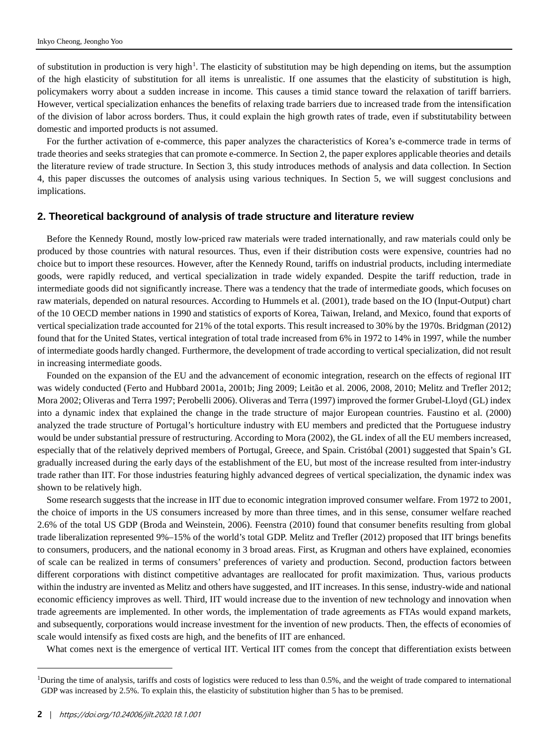of substitution in production is very high<sup>[1](#page-2-0)</sup>. The elasticity of substitution may be high depending on items, but the assumption of the high elasticity of substitution for all items is unrealistic. If one assumes that the elasticity of substitution is high, policymakers worry about a sudden increase in income. This causes a timid stance toward the relaxation of tariff barriers. However, vertical specialization enhances the benefits of relaxing trade barriers due to increased trade from the intensification of the division of labor across borders. Thus, it could explain the high growth rates of trade, even if substitutability between domestic and imported products is not assumed.

For the further activation of e-commerce, this paper analyzes the characteristics of Korea's e-commerce trade in terms of trade theories and seeks strategies that can promote e-commerce. In Section 2, the paper explores applicable theories and details the literature review of trade structure. In Section 3, this study introduces methods of analysis and data collection. In Section 4, this paper discusses the outcomes of analysis using various techniques. In Section 5, we will suggest conclusions and implications.

#### **2. Theoretical background of analysis of trade structure and literature review**

Before the Kennedy Round, mostly low-priced raw materials were traded internationally, and raw materials could only be produced by those countries with natural resources. Thus, even if their distribution costs were expensive, countries had no choice but to import these resources. However, after the Kennedy Round, tariffs on industrial products, including intermediate goods, were rapidly reduced, and vertical specialization in trade widely expanded. Despite the tariff reduction, trade in intermediate goods did not significantly increase. There was a tendency that the trade of intermediate goods, which focuses on raw materials, depended on natural resources. According to Hummels et al. (2001), trade based on the IO (Input-Output) chart of the 10 OECD member nations in 1990 and statistics of exports of Korea, Taiwan, Ireland, and Mexico, found that exports of vertical specialization trade accounted for 21% of the total exports. This result increased to 30% by the 1970s. Bridgman (2012) found that for the United States, vertical integration of total trade increased from 6% in 1972 to 14% in 1997, while the number of intermediate goods hardly changed. Furthermore, the development of trade according to vertical specialization, did not result in increasing intermediate goods.

Founded on the expansion of the EU and the advancement of economic integration, research on the effects of regional IIT was widely conducted (Ferto and Hubbard 2001a, 2001b; Jing 2009; Leitão et al. 2006, 2008, 2010; Melitz and Trefler 2012; Mora 2002; Oliveras and Terra 1997; Perobelli 2006). Oliveras and Terra (1997) improved the former Grubel-Lloyd (GL) index into a dynamic index that explained the change in the trade structure of major European countries. Faustino et al. (2000) analyzed the trade structure of Portugal's horticulture industry with EU members and predicted that the Portuguese industry would be under substantial pressure of restructuring. According to Mora (2002), the GL index of all the EU members increased, especially that of the relatively deprived members of Portugal, Greece, and Spain. Cristóbal (2001) suggested that Spain's GL gradually increased during the early days of the establishment of the EU, but most of the increase resulted from inter-industry trade rather than IIT. For those industries featuring highly advanced degrees of vertical specialization, the dynamic index was shown to be relatively high.

Some research suggests that the increase in IIT due to economic integration improved consumer welfare. From 1972 to 2001, the choice of imports in the US consumers increased by more than three times, and in this sense, consumer welfare reached 2.6% of the total US GDP (Broda and Weinstein, 2006). Feenstra (2010) found that consumer benefits resulting from global trade liberalization represented 9%–15% of the world's total GDP. Melitz and Trefler (2012) proposed that IIT brings benefits to consumers, producers, and the national economy in 3 broad areas. First, as Krugman and others have explained, economies of scale can be realized in terms of consumers' preferences of variety and production. Second, production factors between different corporations with distinct competitive advantages are reallocated for profit maximization. Thus, various products within the industry are invented as Melitz and others have suggested, and IIT increases. In this sense, industry-wide and national economic efficiency improves as well. Third, IIT would increase due to the invention of new technology and innovation when trade agreements are implemented. In other words, the implementation of trade agreements as FTAs would expand markets, and subsequently, corporations would increase investment for the invention of new products. Then, the effects of economies of scale would intensify as fixed costs are high, and the benefits of IIT are enhanced.

What comes next is the emergence of vertical IIT. Vertical IIT comes from the concept that differentiation exists between

-

<span id="page-2-0"></span><sup>&</sup>lt;sup>1</sup>During the time of analysis, tariffs and costs of logistics were reduced to less than 0.5%, and the weight of trade compared to international GDP was increased by 2.5%. To explain this, the elasticity of substitution higher than 5 has to be premised.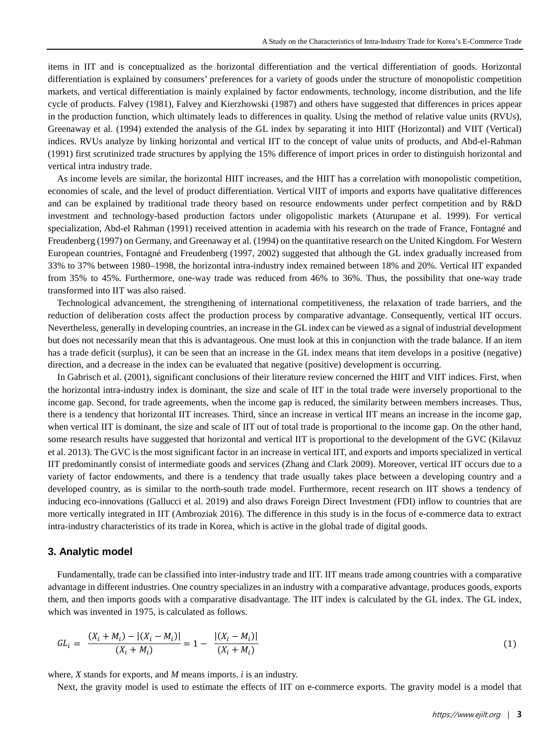items in IIT and is conceptualized as the horizontal differentiation and the vertical differentiation of goods. Horizontal differentiation is explained by consumers' preferences for a variety of goods under the structure of monopolistic competition markets, and vertical differentiation is mainly explained by factor endowments, technology, income distribution, and the life cycle of products. Falvey (1981), Falvey and Kierzhowski (1987) and others have suggested that differences in prices appear in the production function, which ultimately leads to differences in quality. Using the method of relative value units (RVUs), Greenaway et al. (1994) extended the analysis of the GL index by separating it into HIIT (Horizontal) and VIIT (Vertical) indices. RVUs analyze by linking horizontal and vertical IIT to the concept of value units of products, and Abd-el-Rahman (1991) first scrutinized trade structures by applying the 15% difference of import prices in order to distinguish horizontal and vertical intra industry trade.

As income levels are similar, the horizontal HIIT increases, and the HIIT has a correlation with monopolistic competition, economies of scale, and the level of product differentiation. Vertical VIIT of imports and exports have qualitative differences and can be explained by traditional trade theory based on resource endowments under perfect competition and by R&D investment and technology-based production factors under oligopolistic markets (Aturupane et al. 1999). For vertical specialization, Abd-el Rahman (1991) received attention in academia with his research on the trade of France, Fontagné and Freudenberg (1997) on Germany, and Greenaway et al. (1994) on the quantitative research on the United Kingdom. For Western European countries, Fontagné and Freudenberg (1997, 2002) suggested that although the GL index gradually increased from 33% to 37% between 1980–1998, the horizontal intra-industry index remained between 18% and 20%. Vertical IIT expanded from 35% to 45%. Furthermore, one-way trade was reduced from 46% to 36%. Thus, the possibility that one-way trade transformed into IIT was also raised.

Technological advancement, the strengthening of international competitiveness, the relaxation of trade barriers, and the reduction of deliberation costs affect the production process by comparative advantage. Consequently, vertical IIT occurs. Nevertheless, generally in developing countries, an increase in the GL index can be viewed as a signal of industrial development but does not necessarily mean that this is advantageous. One must look at this in conjunction with the trade balance. If an item has a trade deficit (surplus), it can be seen that an increase in the GL index means that item develops in a positive (negative) direction, and a decrease in the index can be evaluated that negative (positive) development is occurring.

In Gabrisch et al. (2001), significant conclusions of their literature review concerned the HIIT and VIIT indices. First, when the horizontal intra-industry index is dominant, the size and scale of IIT in the total trade were inversely proportional to the income gap. Second, for trade agreements, when the income gap is reduced, the similarity between members increases. Thus, there is a tendency that horizontal IIT increases. Third, since an increase in vertical IIT means an increase in the income gap, when vertical IIT is dominant, the size and scale of IIT out of total trade is proportional to the income gap. On the other hand, some research results have suggested that horizontal and vertical IIT is proportional to the development of the GVC (Kilavuz et al. 2013). The GVC is the most significant factor in an increase in vertical IIT, and exports and imports specialized in vertical IIT predominantly consist of intermediate goods and services (Zhang and Clark 2009). Moreover, vertical IIT occurs due to a variety of factor endowments, and there is a tendency that trade usually takes place between a developing country and a developed country, as is similar to the north-south trade model. Furthermore, recent research on IIT shows a tendency of inducing eco-innovations (Gallucci et al. 2019) and also draws Foreign Direct Investment (FDI) inflow to countries that are more vertically integrated in IIT (Ambroziak 2016). The difference in this study is in the focus of e-commerce data to extract intra-industry characteristics of its trade in Korea, which is active in the global trade of digital goods.

### **3. Analytic model**

Fundamentally, trade can be classified into inter-industry trade and IIT. IIT means trade among countries with a comparative advantage in different industries. One country specializes in an industry with a comparative advantage, produces goods, exports them, and then imports goods with a comparative disadvantage. The IIT index is calculated by the GL index. The GL index, which was invented in 1975, is calculated as follows.

$$
GL_i = \frac{(X_i + M_i) - |(X_i - M_i)|}{(X_i + M_i)} = 1 - \frac{|(X_i - M_i)|}{(X_i + M_i)}
$$
(1)

where, *X* stands for exports, and *M* means imports. *i* is an industry.

Next, the gravity model is used to estimate the effects of IIT on e-commerce exports. The gravity model is a model that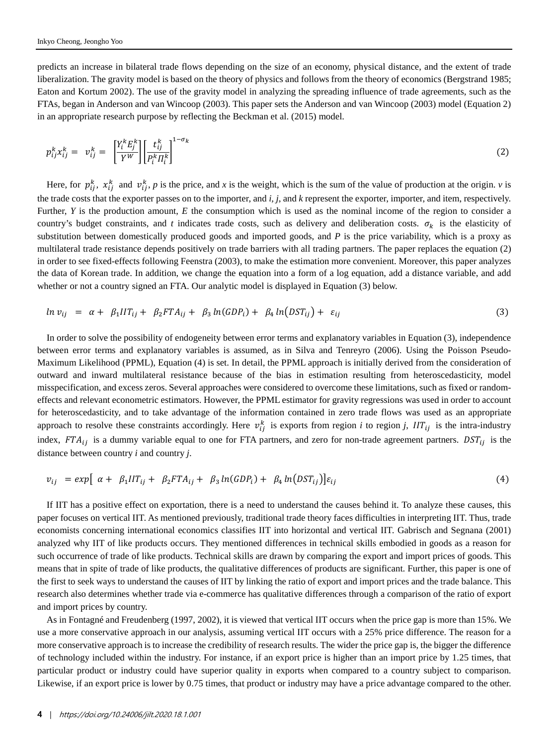predicts an increase in bilateral trade flows depending on the size of an economy, physical distance, and the extent of trade liberalization. The gravity model is based on the theory of physics and follows from the theory of economics (Bergstrand 1985; Eaton and Kortum 2002). The use of the gravity model in analyzing the spreading influence of trade agreements, such as the FTAs, began in Anderson and van Wincoop (2003). This paper sets the Anderson and van Wincoop (2003) model (Equation 2) in an appropriate research purpose by reflecting the Beckman et al. (2015) model.

$$
p_{ij}^k x_{ij}^k = v_{ij}^k = \left[\frac{Y_i^k E_j^k}{Y^W}\right] \left[\frac{t_{ij}^k}{P_i^k \Pi_i^k}\right]^{1-\sigma_k}
$$
\n<sup>(2)</sup>

Here, for  $p_{ij}^k$ ,  $x_{ij}^k$  and  $v_{ij}^k$ , p is the price, and x is the weight, which is the sum of the value of production at the origin. *v* is the trade costs that the exporter passes on to the importer, and *i, j*, and *k* represent the exporter, importer, and item, respectively. Further, *Y* is the production amount, *E* the consumption which is used as the nominal income of the region to consider a country's budget constraints, and *t* indicates trade costs, such as delivery and deliberation costs.  $\sigma_k$  is the elasticity of substitution between domestically produced goods and imported goods, and *P* is the price variability, which is a proxy as multilateral trade resistance depends positively on trade barriers with all trading partners. The paper replaces the equation (2) in order to see fixed-effects following Feenstra (2003), to make the estimation more convenient. Moreover, this paper analyzes the data of Korean trade. In addition, we change the equation into a form of a log equation, add a distance variable, and add whether or not a country signed an FTA. Our analytic model is displayed in Equation (3) below.

$$
ln v_{ij} = \alpha + \beta_1 I I T_{ij} + \beta_2 F T A_{ij} + \beta_3 ln(GDP_i) + \beta_4 ln(DST_{ij}) + \varepsilon_{ij}
$$
\n(3)

In order to solve the possibility of endogeneity between error terms and explanatory variables in Equation (3), independence between error terms and explanatory variables is assumed, as in Silva and Tenreyro (2006). Using the Poisson Pseudo-Maximum Likelihood (PPML), Equation (4) is set. In detail, the PPML approach is initially derived from the consideration of outward and inward multilateral resistance because of the bias in estimation resulting from heteroscedasticity, model misspecification, and excess zeros. Several approaches were considered to overcome these limitations, such as fixed or randomeffects and relevant econometric estimators. However, the PPML estimator for gravity regressions was used in order to account for heteroscedasticity, and to take advantage of the information contained in zero trade flows was used as an appropriate approach to resolve these constraints accordingly. Here  $v_{ij}^k$  is exports from region *i* to region *j*,  $III_{ij}$  is the intra-industry index,  $FTA_{ij}$  is a dummy variable equal to one for FTA partners, and zero for non-trade agreement partners.  $DST_{ij}$  is the distance between country *i* and country *j*.

$$
v_{ij} = exp \left[ \alpha + \beta_1 I I T_{ij} + \beta_2 F T A_{ij} + \beta_3 \ln (G D P_i) + \beta_4 \ln (D S T_{ij}) \right] \varepsilon_{ij}
$$
\n(4)

If IIT has a positive effect on exportation, there is a need to understand the causes behind it. To analyze these causes, this paper focuses on vertical IIT. As mentioned previously, traditional trade theory faces difficulties in interpreting IIT. Thus, trade economists concerning international economics classifies IIT into horizontal and vertical IIT. Gabrisch and Segnana (2001) analyzed why IIT of like products occurs. They mentioned differences in technical skills embodied in goods as a reason for such occurrence of trade of like products. Technical skills are drawn by comparing the export and import prices of goods. This means that in spite of trade of like products, the qualitative differences of products are significant. Further, this paper is one of the first to seek ways to understand the causes of IIT by linking the ratio of export and import prices and the trade balance. This research also determines whether trade via e-commerce has qualitative differences through a comparison of the ratio of export and import prices by country.

As in Fontagné and Freudenberg (1997, 2002), it is viewed that vertical IIT occurs when the price gap is more than 15%. We use a more conservative approach in our analysis, assuming vertical IIT occurs with a 25% price difference. The reason for a more conservative approach is to increase the credibility of research results. The wider the price gap is, the bigger the difference of technology included within the industry. For instance, if an export price is higher than an import price by 1.25 times, that particular product or industry could have superior quality in exports when compared to a country subject to comparison. Likewise, if an export price is lower by 0.75 times, that product or industry may have a price advantage compared to the other.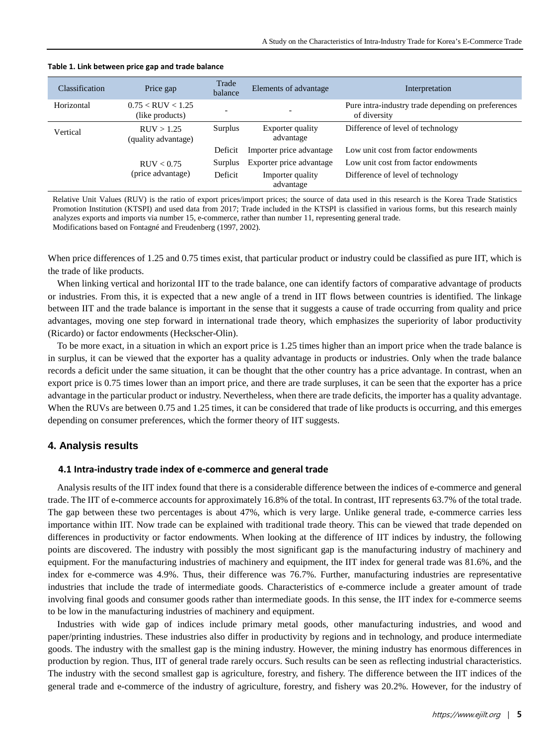| <b>Classification</b> | Price gap                                | Trade<br>balance | Elements of advantage         | Interpretation                                                     |
|-----------------------|------------------------------------------|------------------|-------------------------------|--------------------------------------------------------------------|
| Horizontal            | $0.75 <$ RUV $< 1.25$<br>(like products) |                  |                               | Pure intra-industry trade depending on preferences<br>of diversity |
| Vertical              | RUV > 1.25<br>(quality advantage)        | Surplus          | Exporter quality<br>advantage | Difference of level of technology                                  |
|                       |                                          | Deficit          | Importer price advantage      | Low unit cost from factor endowments                               |
|                       | RUV < 0.75                               | Surplus          | Exporter price advantage      | Low unit cost from factor endowments                               |
|                       | (price advantage)                        | Deficit          | Importer quality<br>advantage | Difference of level of technology                                  |

#### **Table 1. Link between price gap and trade balance**

Relative Unit Values (RUV) is the ratio of export prices/import prices; the source of data used in this research is the Korea Trade Statistics Promotion Institution (KTSPI) and used data from 2017; Trade included in the KTSPI is classified in various forms, but this research mainly analyzes exports and imports via number 15, e-commerce, rather than number 11, representing general trade. Modifications based on Fontagné and Freudenberg (1997, 2002).

When price differences of 1.25 and 0.75 times exist, that particular product or industry could be classified as pure IIT, which is the trade of like products.

When linking vertical and horizontal IIT to the trade balance, one can identify factors of comparative advantage of products or industries. From this, it is expected that a new angle of a trend in IIT flows between countries is identified. The linkage between IIT and the trade balance is important in the sense that it suggests a cause of trade occurring from quality and price advantages, moving one step forward in international trade theory, which emphasizes the superiority of labor productivity (Ricardo) or factor endowments (Heckscher-Olin).

To be more exact, in a situation in which an export price is 1.25 times higher than an import price when the trade balance is in surplus, it can be viewed that the exporter has a quality advantage in products or industries. Only when the trade balance records a deficit under the same situation, it can be thought that the other country has a price advantage. In contrast, when an export price is 0.75 times lower than an import price, and there are trade surpluses, it can be seen that the exporter has a price advantage in the particular product or industry. Nevertheless, when there are trade deficits, the importer has a quality advantage. When the RUVs are between 0.75 and 1.25 times, it can be considered that trade of like products is occurring, and this emerges depending on consumer preferences, which the former theory of IIT suggests.

## **4. Analysis results**

#### **4.1 Intra-industry trade index of e-commerce and general trade**

Analysis results of the IIT index found that there is a considerable difference between the indices of e-commerce and general trade. The IIT of e-commerce accounts for approximately 16.8% of the total. In contrast, IIT represents 63.7% of the total trade. The gap between these two percentages is about 47%, which is very large. Unlike general trade, e-commerce carries less importance within IIT. Now trade can be explained with traditional trade theory. This can be viewed that trade depended on differences in productivity or factor endowments. When looking at the difference of IIT indices by industry, the following points are discovered. The industry with possibly the most significant gap is the manufacturing industry of machinery and equipment. For the manufacturing industries of machinery and equipment, the IIT index for general trade was 81.6%, and the index for e-commerce was 4.9%. Thus, their difference was 76.7%. Further, manufacturing industries are representative industries that include the trade of intermediate goods. Characteristics of e-commerce include a greater amount of trade involving final goods and consumer goods rather than intermediate goods. In this sense, the IIT index for e-commerce seems to be low in the manufacturing industries of machinery and equipment.

Industries with wide gap of indices include primary metal goods, other manufacturing industries, and wood and paper/printing industries. These industries also differ in productivity by regions and in technology, and produce intermediate goods. The industry with the smallest gap is the mining industry. However, the mining industry has enormous differences in production by region. Thus, IIT of general trade rarely occurs. Such results can be seen as reflecting industrial characteristics. The industry with the second smallest gap is agriculture, forestry, and fishery. The difference between the IIT indices of the general trade and e-commerce of the industry of agriculture, forestry, and fishery was 20.2%. However, for the industry of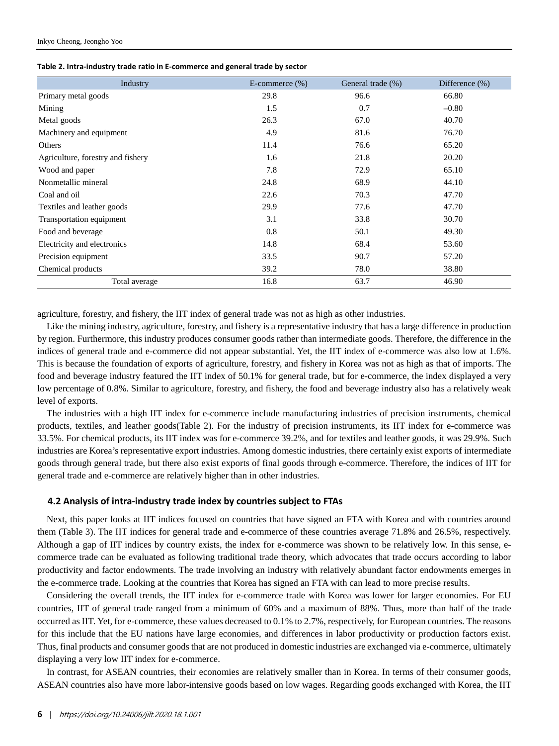| Industry                          | E-commerce $(\%)$ | General trade (%) | Difference $(\% )$ |
|-----------------------------------|-------------------|-------------------|--------------------|
| Primary metal goods               | 29.8              | 96.6              | 66.80              |
| Mining                            | 1.5               | 0.7               | $-0.80$            |
| Metal goods                       | 26.3              | 67.0              | 40.70              |
| Machinery and equipment           | 4.9               | 81.6              | 76.70              |
| Others                            | 11.4              | 76.6              | 65.20              |
| Agriculture, forestry and fishery | 1.6               | 21.8              | 20.20              |
| Wood and paper                    | 7.8               | 72.9              | 65.10              |
| Nonmetallic mineral               | 24.8              | 68.9              | 44.10              |
| Coal and oil                      | 22.6              | 70.3              | 47.70              |
| Textiles and leather goods        | 29.9              | 77.6              | 47.70              |
| Transportation equipment          | 3.1               | 33.8              | 30.70              |
| Food and beverage                 | 0.8               | 50.1              | 49.30              |
| Electricity and electronics       | 14.8              | 68.4              | 53.60              |
| Precision equipment               | 33.5              | 90.7              | 57.20              |
| Chemical products                 | 39.2              | 78.0              | 38.80              |
| Total average                     | 16.8              | 63.7              | 46.90              |

agriculture, forestry, and fishery, the IIT index of general trade was not as high as other industries.

Like the mining industry, agriculture, forestry, and fishery is a representative industry that has a large difference in production by region. Furthermore, this industry produces consumer goods rather than intermediate goods. Therefore, the difference in the indices of general trade and e-commerce did not appear substantial. Yet, the IIT index of e-commerce was also low at 1.6%. This is because the foundation of exports of agriculture, forestry, and fishery in Korea was not as high as that of imports. The food and beverage industry featured the IIT index of 50.1% for general trade, but for e-commerce, the index displayed a very low percentage of 0.8%. Similar to agriculture, forestry, and fishery, the food and beverage industry also has a relatively weak level of exports.

The industries with a high IIT index for e-commerce include manufacturing industries of precision instruments, chemical products, textiles, and leather goods(Table 2). For the industry of precision instruments, its IIT index for e-commerce was 33.5%. For chemical products, its IIT index was for e-commerce 39.2%, and for textiles and leather goods, it was 29.9%. Such industries are Korea's representative export industries. Among domestic industries, there certainly exist exports of intermediate goods through general trade, but there also exist exports of final goods through e-commerce. Therefore, the indices of IIT for general trade and e-commerce are relatively higher than in other industries.

#### **4.2 Analysis of intra-industry trade index by countries subject to FTAs**

Next, this paper looks at IIT indices focused on countries that have signed an FTA with Korea and with countries around them (Table 3). The IIT indices for general trade and e-commerce of these countries average 71.8% and 26.5%, respectively. Although a gap of IIT indices by country exists, the index for e-commerce was shown to be relatively low. In this sense, ecommerce trade can be evaluated as following traditional trade theory, which advocates that trade occurs according to labor productivity and factor endowments. The trade involving an industry with relatively abundant factor endowments emerges in the e-commerce trade. Looking at the countries that Korea has signed an FTA with can lead to more precise results.

Considering the overall trends, the IIT index for e-commerce trade with Korea was lower for larger economies. For EU countries, IIT of general trade ranged from a minimum of 60% and a maximum of 88%. Thus, more than half of the trade occurred as IIT. Yet, for e-commerce, these values decreased to 0.1% to 2.7%, respectively, for European countries. The reasons for this include that the EU nations have large economies, and differences in labor productivity or production factors exist. Thus, final products and consumer goods that are not produced in domestic industries are exchanged via e-commerce, ultimately displaying a very low IIT index for e-commerce.

In contrast, for ASEAN countries, their economies are relatively smaller than in Korea. In terms of their consumer goods, ASEAN countries also have more labor-intensive goods based on low wages. Regarding goods exchanged with Korea, the IIT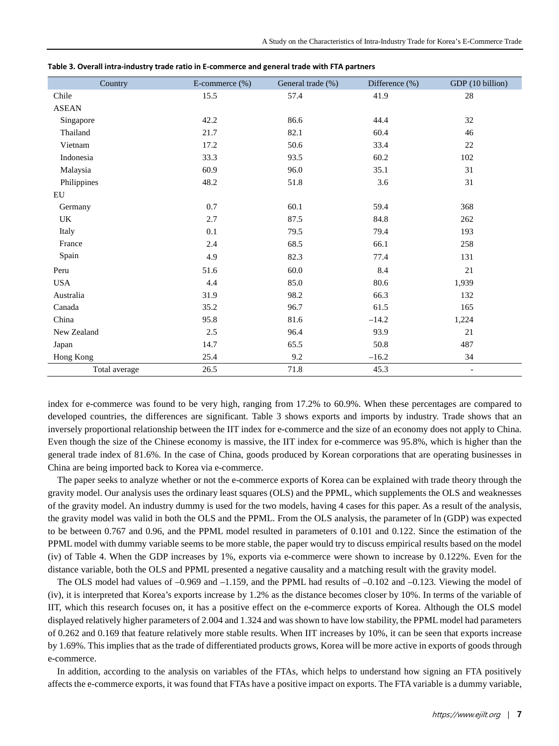| Country       | E-commerce (%) | General trade (%) | Difference (%) | GDP (10 billion)         |
|---------------|----------------|-------------------|----------------|--------------------------|
| Chile         | 15.5           | 57.4              | 41.9           | 28                       |
| <b>ASEAN</b>  |                |                   |                |                          |
| Singapore     | 42.2           | 86.6              | 44.4           | 32                       |
| Thailand      | 21.7           | 82.1              | 60.4           | 46                       |
| Vietnam       | 17.2           | 50.6              | 33.4           | 22                       |
| Indonesia     | 33.3           | 93.5              | 60.2           | 102                      |
| Malaysia      | 60.9           | 96.0              | 35.1           | 31                       |
| Philippines   | 48.2           | 51.8              | 3.6            | 31                       |
| EU            |                |                   |                |                          |
| Germany       | $0.7\,$        | 60.1              | 59.4           | 368                      |
| UK            | 2.7            | 87.5              | 84.8           | 262                      |
| Italy         | 0.1            | 79.5              | 79.4           | 193                      |
| France        | $2.4\,$        | 68.5              | 66.1           | 258                      |
| Spain         | 4.9            | 82.3              | 77.4           | 131                      |
| Peru          | 51.6           | 60.0              | 8.4            | 21                       |
| <b>USA</b>    | 4.4            | 85.0              | 80.6           | 1,939                    |
| Australia     | 31.9           | 98.2              | 66.3           | 132                      |
| Canada        | 35.2           | 96.7              | 61.5           | 165                      |
| China         | 95.8           | 81.6              | $-14.2$        | 1,224                    |
| New Zealand   | $2.5\,$        | 96.4              | 93.9           | 21                       |
| Japan         | 14.7           | 65.5              | 50.8           | 487                      |
| Hong Kong     | 25.4           | 9.2               | $-16.2$        | 34                       |
| Total average | 26.5           | 71.8              | 45.3           | $\overline{\phantom{a}}$ |

**Table 3. Overall intra-industry trade ratio in E-commerce and general trade with FTA partners** 

index for e-commerce was found to be very high, ranging from 17.2% to 60.9%. When these percentages are compared to developed countries, the differences are significant. Table 3 shows exports and imports by industry. Trade shows that an inversely proportional relationship between the IIT index for e-commerce and the size of an economy does not apply to China. Even though the size of the Chinese economy is massive, the IIT index for e-commerce was 95.8%, which is higher than the general trade index of 81.6%. In the case of China, goods produced by Korean corporations that are operating businesses in China are being imported back to Korea via e-commerce.

The paper seeks to analyze whether or not the e-commerce exports of Korea can be explained with trade theory through the gravity model. Our analysis uses the ordinary least squares (OLS) and the PPML, which supplements the OLS and weaknesses of the gravity model. An industry dummy is used for the two models, having 4 cases for this paper. As a result of the analysis, the gravity model was valid in both the OLS and the PPML. From the OLS analysis, the parameter of ln (GDP) was expected to be between 0.767 and 0.96, and the PPML model resulted in parameters of 0.101 and 0.122. Since the estimation of the PPML model with dummy variable seems to be more stable, the paper would try to discuss empirical results based on the model (iv) of Table 4. When the GDP increases by 1%, exports via e-commerce were shown to increase by 0.122%. Even for the distance variable, both the OLS and PPML presented a negative causality and a matching result with the gravity model.

The OLS model had values of –0.969 and –1.159, and the PPML had results of –0.102 and –0.123. Viewing the model of (iv), it is interpreted that Korea's exports increase by 1.2% as the distance becomes closer by 10%. In terms of the variable of IIT, which this research focuses on, it has a positive effect on the e-commerce exports of Korea. Although the OLS model displayed relatively higher parameters of 2.004 and 1.324 and was shown to have low stability, the PPML model had parameters of 0.262 and 0.169 that feature relatively more stable results. When IIT increases by 10%, it can be seen that exports increase by 1.69%. This implies that as the trade of differentiated products grows, Korea will be more active in exports of goods through e-commerce.

In addition, according to the analysis on variables of the FTAs, which helps to understand how signing an FTA positively affects the e-commerce exports, it was found that FTAs have a positive impact on exports. The FTA variable is a dummy variable,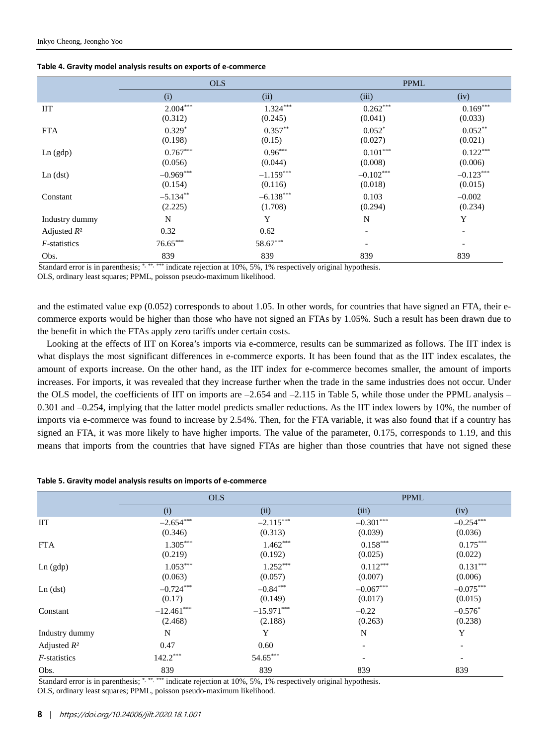|  |  | Table 4. Gravity model analysis results on exports of e-commerce |
|--|--|------------------------------------------------------------------|
|--|--|------------------------------------------------------------------|

|                      | <b>OLS</b>             |                        | <b>PPML</b>            |                          |
|----------------------|------------------------|------------------------|------------------------|--------------------------|
|                      | (i)                    | (ii)                   | (iii)                  | (iv)                     |
| <b>IIT</b>           | $2.004***$<br>(0.312)  | $1.324***$<br>(0.245)  | $0.262***$<br>(0.041)  | $0.169***$<br>(0.033)    |
| <b>FTA</b>           | $0.329*$<br>(0.198)    | $0.357***$<br>(0.15)   | $0.052*$<br>(0.027)    | $0.052**$<br>(0.021)     |
| Ln (gdp)             | $0.767***$<br>(0.056)  | $0.96***$<br>(0.044)   | $0.101***$<br>(0.008)  | $0.122***$<br>(0.006)    |
| Ln (dst)             | $-0.969***$<br>(0.154) | $-1.159***$<br>(0.116) | $-0.102***$<br>(0.018) | $-0.123***$<br>(0.015)   |
| Constant             | $-5.134**$<br>(2.225)  | $-6.138***$<br>(1.708) | 0.103<br>(0.294)       | $-0.002$<br>(0.234)      |
| Industry dummy       | N                      | Y                      | N                      | Y                        |
| Adjusted $R^2$       | 0.32                   | 0.62                   |                        |                          |
| <i>F</i> -statistics | $76.65***$             | 58.67***               | -                      | $\overline{\phantom{a}}$ |
| Obs.                 | 839                    | 839                    | 839                    | 839                      |

error is in parenthesis; \*, \*\*, \*\*\* indicate rejection at  $10\%$ , 5%, 1% respectively original hypothesis.

OLS, ordinary least squares; PPML, poisson pseudo-maximum likelihood.

and the estimated value exp (0.052) corresponds to about 1.05. In other words, for countries that have signed an FTA, their ecommerce exports would be higher than those who have not signed an FTAs by 1.05%. Such a result has been drawn due to the benefit in which the FTAs apply zero tariffs under certain costs.

Looking at the effects of IIT on Korea's imports via e-commerce, results can be summarized as follows. The IIT index is what displays the most significant differences in e-commerce exports. It has been found that as the IIT index escalates, the amount of exports increase. On the other hand, as the IIT index for e-commerce becomes smaller, the amount of imports increases. For imports, it was revealed that they increase further when the trade in the same industries does not occur. Under the OLS model, the coefficients of IIT on imports are  $-2.654$  and  $-2.115$  in Table 5, while those under the PPML analysis – 0.301 and –0.254, implying that the latter model predicts smaller reductions. As the IIT index lowers by 10%, the number of imports via e-commerce was found to increase by 2.54%. Then, for the FTA variable, it was also found that if a country has signed an FTA, it was more likely to have higher imports. The value of the parameter, 0.175, corresponds to 1.19, and this means that imports from the countries that have signed FTAs are higher than those countries that have not signed these

#### **Table 5. Gravity model analysis results on imports of e-commerce**

|                      | <b>OLS</b>              |                         | <b>PPML</b>              |                          |
|----------------------|-------------------------|-------------------------|--------------------------|--------------------------|
|                      | (i)                     | (ii)                    | (iii)                    | (iv)                     |
| ШT                   | $-2.654***$<br>(0.346)  | $-2.115***$<br>(0.313)  | $-0.301***$<br>(0.039)   | $-0.254***$<br>(0.036)   |
| <b>FTA</b>           | $1.305***$<br>(0.219)   | $1.462***$<br>(0.192)   | $0.158***$<br>(0.025)    | $0.175***$<br>(0.022)    |
| Ln (gdp)             | $1.053***$<br>(0.063)   | $1.252***$<br>(0.057)   | $0.112***$<br>(0.007)    | $0.131***$<br>(0.006)    |
| Ln (dst)             | $-0.724***$<br>(0.17)   | $-0.84***$<br>(0.149)   | $-0.067***$<br>(0.017)   | $-0.075***$<br>(0.015)   |
| Constant             | $-12.461***$<br>(2.468) | $-15.971***$<br>(2.188) | $-0.22$<br>(0.263)       | $-0.576*$<br>(0.238)     |
| Industry dummy       | N                       | Y                       | N                        | Y                        |
| Adjusted $R^2$       | 0.47                    | 0.60                    | $\overline{\phantom{a}}$ | Ξ.                       |
| <i>F</i> -statistics | $142.2***$              | $54.65***$              | $\overline{\phantom{a}}$ | $\overline{\phantom{a}}$ |
| Obs.                 | 839                     | 839                     | 839                      | 839                      |

Standard error is in parenthesis; \*, \*\*, \*\*\* indicate rejection at 10%, 5%, 1% respectively original hypothesis. OLS, ordinary least squares; PPML, poisson pseudo-maximum likelihood.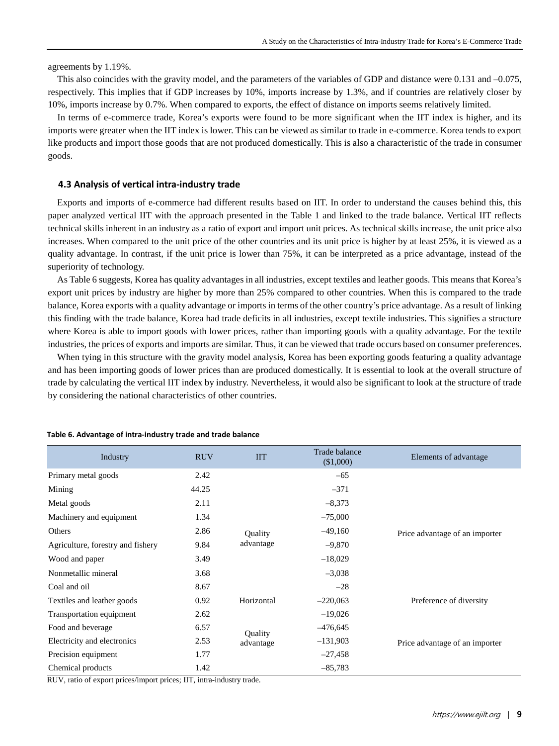agreements by 1.19%.

This also coincides with the gravity model, and the parameters of the variables of GDP and distance were  $0.131$  and  $-0.075$ . respectively. This implies that if GDP increases by 10%, imports increase by 1.3%, and if countries are relatively closer by 10%, imports increase by 0.7%. When compared to exports, the effect of distance on imports seems relatively limited.

In terms of e-commerce trade, Korea's exports were found to be more significant when the IIT index is higher, and its imports were greater when the IIT index is lower. This can be viewed as similar to trade in e-commerce. Korea tends to export like products and import those goods that are not produced domestically. This is also a characteristic of the trade in consumer goods.

#### **4.3 Analysis of vertical intra-industry trade**

Exports and imports of e-commerce had different results based on IIT. In order to understand the causes behind this, this paper analyzed vertical IIT with the approach presented in the Table 1 and linked to the trade balance. Vertical IIT reflects technical skills inherent in an industry as a ratio of export and import unit prices. As technical skills increase, the unit price also increases. When compared to the unit price of the other countries and its unit price is higher by at least 25%, it is viewed as a quality advantage. In contrast, if the unit price is lower than 75%, it can be interpreted as a price advantage, instead of the superiority of technology.

As Table 6 suggests, Korea has quality advantages in all industries, except textiles and leather goods. This means that Korea's export unit prices by industry are higher by more than 25% compared to other countries. When this is compared to the trade balance, Korea exports with a quality advantage or imports in terms of the other country's price advantage. As a result of linking this finding with the trade balance, Korea had trade deficits in all industries, except textile industries. This signifies a structure where Korea is able to import goods with lower prices, rather than importing goods with a quality advantage. For the textile industries, the prices of exports and imports are similar. Thus, it can be viewed that trade occurs based on consumer preferences.

When tying in this structure with the gravity model analysis, Korea has been exporting goods featuring a quality advantage and has been importing goods of lower prices than are produced domestically. It is essential to look at the overall structure of trade by calculating the vertical IIT index by industry. Nevertheless, it would also be significant to look at the structure of trade by considering the national characteristics of other countries.

| Industry                          | <b>RUV</b> | <b>IIT</b> | Trade balance<br>(\$1,000) | Elements of advantage          |
|-----------------------------------|------------|------------|----------------------------|--------------------------------|
| Primary metal goods               | 2.42       |            | $-65$                      |                                |
| Mining                            | 44.25      |            | $-371$                     |                                |
| Metal goods                       | 2.11       |            | $-8,373$                   |                                |
| Machinery and equipment           | 1.34       |            | $-75,000$                  |                                |
| Others                            | 2.86       | Quality    | $-49,160$                  | Price advantage of an importer |
| Agriculture, forestry and fishery | 9.84       | advantage  | $-9,870$                   |                                |
| Wood and paper                    | 3.49       |            | $-18,029$                  |                                |
| Nonmetallic mineral               | 3.68       |            | $-3,038$                   |                                |
| Coal and oil                      | 8.67       |            | $-28$                      |                                |
| Textiles and leather goods        | 0.92       | Horizontal | $-220,063$                 | Preference of diversity        |
| Transportation equipment          | 2.62       |            | $-19,026$                  |                                |
| Food and beverage                 | 6.57       | Quality    | $-476,645$                 |                                |
| Electricity and electronics       | 2.53       | advantage  | $-131,903$                 | Price advantage of an importer |
| Precision equipment               | 1.77       |            | $-27,458$                  |                                |
| Chemical products                 | 1.42       |            | $-85,783$                  |                                |

#### **Table 6. Advantage of intra-industry trade and trade balance**

RUV, ratio of export prices/import prices; IIT, intra-industry trade.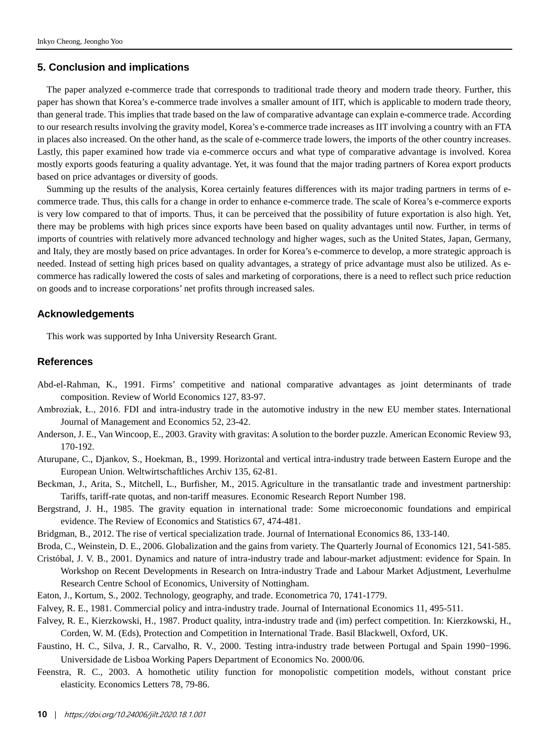### **5. Conclusion and implications**

The paper analyzed e-commerce trade that corresponds to traditional trade theory and modern trade theory. Further, this paper has shown that Korea's e-commerce trade involves a smaller amount of IIT, which is applicable to modern trade theory, than general trade. This implies that trade based on the law of comparative advantage can explain e-commerce trade. According to our research results involving the gravity model, Korea's e-commerce trade increases as IIT involving a country with an FTA in places also increased. On the other hand, as the scale of e-commerce trade lowers, the imports of the other country increases. Lastly, this paper examined how trade via e-commerce occurs and what type of comparative advantage is involved. Korea mostly exports goods featuring a quality advantage. Yet, it was found that the major trading partners of Korea export products based on price advantages or diversity of goods.

Summing up the results of the analysis, Korea certainly features differences with its major trading partners in terms of ecommerce trade. Thus, this calls for a change in order to enhance e-commerce trade. The scale of Korea's e-commerce exports is very low compared to that of imports. Thus, it can be perceived that the possibility of future exportation is also high. Yet, there may be problems with high prices since exports have been based on quality advantages until now. Further, in terms of imports of countries with relatively more advanced technology and higher wages, such as the United States, Japan, Germany, and Italy, they are mostly based on price advantages. In order for Korea's e-commerce to develop, a more strategic approach is needed. Instead of setting high prices based on quality advantages, a strategy of price advantage must also be utilized. As ecommerce has radically lowered the costs of sales and marketing of corporations, there is a need to reflect such price reduction on goods and to increase corporations' net profits through increased sales.

#### **Acknowledgements**

This work was supported by Inha University Research Grant.

### **References**

- Abd-el-Rahman, K., 1991. Firms' competitive and national comparative advantages as joint determinants of trade composition. Review of World Economics 127, 83-97.
- Ambroziak, Ł., 2016. FDI and intra-industry trade in the automotive industry in the new EU member states. International Journal of Management and Economics 52, 23-42.
- Anderson, J. E., Van Wincoop, E., 2003. Gravity with gravitas: Asolution to the border puzzle. American Economic Review 93, 170-192.
- Aturupane, C., Djankov, S., Hoekman, B., 1999. Horizontal and vertical intra-industry trade between Eastern Europe and the European Union. Weltwirtschaftliches Archiv 135, 62-81.
- Beckman, J., Arita, S., Mitchell, L., Burfisher, M., 2015. Agriculture in the transatlantic trade and investment partnership: Tariffs, tariff-rate quotas, and non-tariff measures. Economic Research Report Number 198.
- Bergstrand, J. H., 1985. The gravity equation in international trade: Some microeconomic foundations and empirical evidence. The Review of Economics and Statistics 67, 474-481.
- Bridgman, B., 2012. The rise of vertical specialization trade. Journal of International Economics 86, 133-140.
- Broda, C., Weinstein, D. E., 2006. Globalization and the gains from variety. The Quarterly Journal of Economics 121, 541-585.
- Cristóbal, J. V. B., 2001. Dynamics and nature of intra-industry trade and labour-market adjustment: evidence for Spain. In Workshop on Recent Developments in Research on Intra-industry Trade and Labour Market Adjustment, Leverhulme Research Centre School of Economics, University of Nottingham.
- Eaton, J., Kortum, S., 2002. Technology, geography, and trade. Econometrica 70, 1741-1779.
- Falvey, R. E., 1981. Commercial policy and intra-industry trade. Journal of International Economics 11, 495-511.
- Falvey, R. E., Kierzkowski, H., 1987. Product quality, intra-industry trade and (im) perfect competition. In: Kierzkowski, H., Corden, W. M. (Eds), Protection and Competition in International Trade. Basil Blackwell, Oxford, UK.
- Faustino, H. C., Silva, J. R., Carvalho, R. V., 2000. Testing intra-industry trade between Portugal and Spain 1990–1996. Universidade de Lisboa Working Papers Department of Economics No. 2000/06.
- Feenstra, R. C., 2003. A homothetic utility function for monopolistic competition models, without constant price elasticity. Economics Letters 78, 79-86.